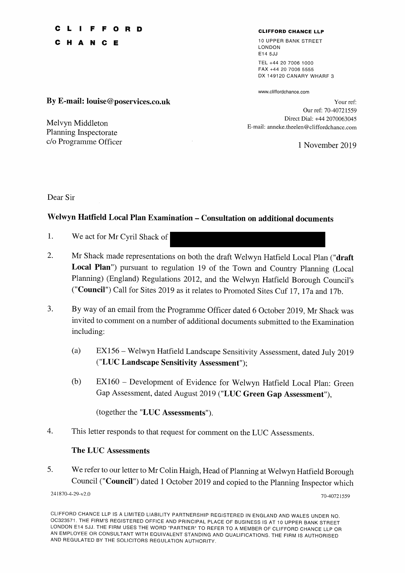# FFORD

 $\mathbf{H}$ N  $C$   $E$ 

### **CLIFFORD CHANCE LLP**

10 UPPER BANK STREET LONDON F14 5.I.I TEL +44 20 7006 1000 FAX +44 20 7006 5555 DX 149120 CANARY WHARF 3

www.cliffordchance.com

Your ref: Our ref: 70-40721559 Direct Dial: +44 2070063045 E-mail: anneke.theelen@cliffordchance.com

1 November 2019

By E-mail: louise@poservices.co.uk

Melvyn Middleton Planning Inspectorate c/o Programme Officer

Dear Sir

## Welwyn Hatfield Local Plan Examination - Consultation on additional documents

- $1.$ We act for Mr Cyril Shack of
- 2. Mr Shack made representations on both the draft Welwyn Hatfield Local Plan ("draft Local Plan") pursuant to regulation 19 of the Town and Country Planning (Local Planning) (England) Regulations 2012, and the Welwyn Hatfield Borough Council's ("Council") Call for Sites 2019 as it relates to Promoted Sites Cuf 17, 17a and 17b.
- 3. By way of an email from the Programme Officer dated 6 October 2019, Mr Shack was invited to comment on a number of additional documents submitted to the Examination including:
	- EX156 Welwyn Hatfield Landscape Sensitivity Assessment, dated July 2019  $(a)$ ("LUC Landscape Sensitivity Assessment");
	- EX160 Development of Evidence for Welwyn Hatfield Local Plan: Green  $(b)$ Gap Assessment, dated August 2019 ("LUC Green Gap Assessment"),

(together the "LUC Assessments").

 $\overline{4}$ . This letter responds to that request for comment on the LUC Assessments.

### **The LUC Assessments**

5. We refer to our letter to Mr Colin Haigh, Head of Planning at Welwyn Hatfield Borough Council ("Council") dated 1 October 2019 and copied to the Planning Inspector which

241870-4-29-v2.0

70-40721559

CLIFFORD CHANCE LLP IS A LIMITED LIABILITY PARTNERSHIP REGISTERED IN ENGLAND AND WALES UNDER NO. OC323571. THE FIRM'S REGISTERED OFFICE AND PRINCIPAL PLACE OF BUSINESS IS AT 10 UPPER BANK STREET LONDON E14 5JJ. THE FIRM USES THE WORD "PARTNER" TO REFER TO A MEMBER OF CLIFFORD CHANCE LLP OR AN EMPLOYEE OR CONSULTANT WITH EQUIVALENT STANDING AND QUALIFICATIONS. THE FIRM IS AUTHORISED AND REGULATED BY THE SOLICITORS REGULATION AUTHORITY.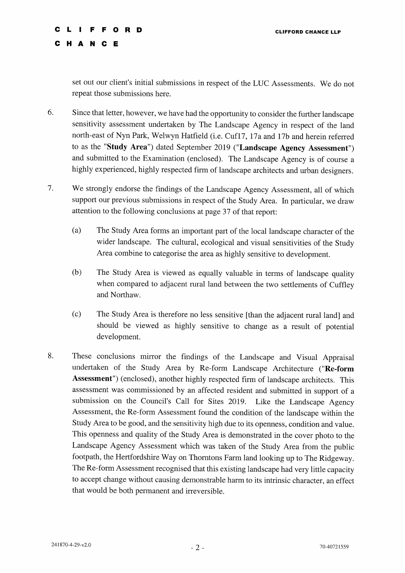#### **FFORD** Ċ

HANCE

 $\mathbf c$ 

set out our client's initial submissions in respect of the LUC Assessments. We do not repeat those submissions here.

- 6. Since that letter, however, we have had the opportunity to consider the further landscape sensitivity assessment undertaken by The Landscape Agency in respect of the land north-east of Nyn Park, Welwyn Hatfield (i.e. Cuf17, 17a and 17b and herein referred to as the "Study Area") dated September 2019 ("Landscape Agency Assessment") and submitted to the Examination (enclosed). The Landscape Agency is of course a highly experienced, highly respected firm of landscape architects and urban designers.
- 7. We strongly endorse the findings of the Landscape Agency Assessment, all of which support our previous submissions in respect of the Study Area. In particular, we draw attention to the following conclusions at page 37 of that report:
	- $(a)$ The Study Area forms an important part of the local landscape character of the wider landscape. The cultural, ecological and visual sensitivities of the Study Area combine to categorise the area as highly sensitive to development.
	- $(b)$ The Study Area is viewed as equally valuable in terms of landscape quality when compared to adjacent rural land between the two settlements of Cuffley and Northaw.
	- $(c)$ The Study Area is therefore no less sensitive [than the adjacent rural land] and should be viewed as highly sensitive to change as a result of potential development.
- 8. These conclusions mirror the findings of the Landscape and Visual Appraisal undertaken of the Study Area by Re-form Landscape Architecture ("Re-form Assessment") (enclosed), another highly respected firm of landscape architects. This assessment was commissioned by an affected resident and submitted in support of a submission on the Council's Call for Sites 2019. Like the Landscape Agency Assessment, the Re-form Assessment found the condition of the landscape within the Study Area to be good, and the sensitivity high due to its openness, condition and value. This openness and quality of the Study Area is demonstrated in the cover photo to the Landscape Agency Assessment which was taken of the Study Area from the public footpath, the Hertfordshire Way on Thorntons Farm land looking up to The Ridgeway. The Re-form Assessment recognised that this existing landscape had very little capacity to accept change without causing demonstrable harm to its intrinsic character, an effect that would be both permanent and irreversible.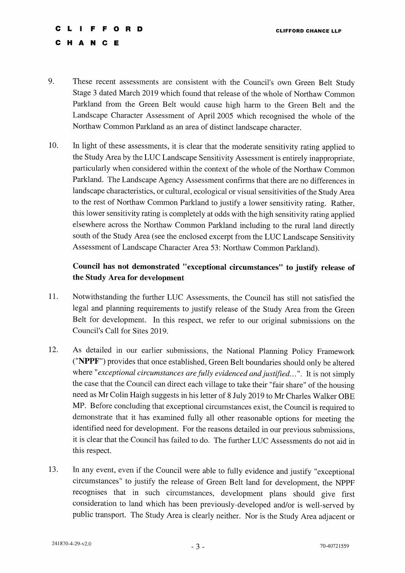### $\blacksquare$ FFORD A N C E

e  $\mathbf{H}$ 

### 9. These recent assessments are consistent with the Council's own Green Belt Study Stage 3 dated March 2019 which found that release of the whole of Northaw Common Parkland from the Green Belt would cause high harm to the Green Belt and the Landscape Character Assessment of April 2005 which recognised the whole of the Northaw Common Parkland as an area of distinct landscape character.

10. In light of these assessments, it is clear that the moderate sensitivity rating applied to the Study Area by the LUC Landscape Sensitivity Assessment is entirely inappropriate, particularly when considered within the context of the whole of the Northaw Common Parkland. The Landscape Agency Assessment confirms that there are no differences in landscape characteristics, or cultural, ecological or visual sensitivities of the Study Area to the rest of Northaw Common Parkland to justify a lower sensitivity rating. Rather, this lower sensitivity rating is completely at odds with the high sensitivity rating applied elsewhere across the Northaw Common Parkland including to the rural land directly south of the Study Area (see the enclosed excerpt from the LUC Landscape Sensitivity Assessment of Landscape Character Area 53: Northaw Common Parkland).

# Council has not demonstrated "exceptional circumstances" to justify release of the Study Area for development

- 11. Notwithstanding the further LUC Assessments, the Council has still not satisfied the legal and planning requirements to justify release of the Study Area from the Green Belt for development. In this respect, we refer to our original submissions on the Council's Call for Sites 2019.
- 12. As detailed in our earlier submissions, the National Planning Policy Framework ("NPPF") provides that once established, Green Belt boundaries should only be altered where "exceptional circumstances are fully evidenced and justified...". It is not simply the case that the Council can direct each village to take their "fair share" of the housing need as Mr Colin Haigh suggests in his letter of 8 July 2019 to Mr Charles Walker OBE MP. Before concluding that exceptional circumstances exist, the Council is required to demonstrate that it has examined fully all other reasonable options for meeting the identified need for development. For the reasons detailed in our previous submissions, it is clear that the Council has failed to do. The further LUC Assessments do not aid in this respect.
- In any event, even if the Council were able to fully evidence and justify "exceptional 13. circumstances" to justify the release of Green Belt land for development, the NPPF recognises that in such circumstances, development plans should give first consideration to land which has been previously-developed and/or is well-served by public transport. The Study Area is clearly neither. Nor is the Study Area adjacent or